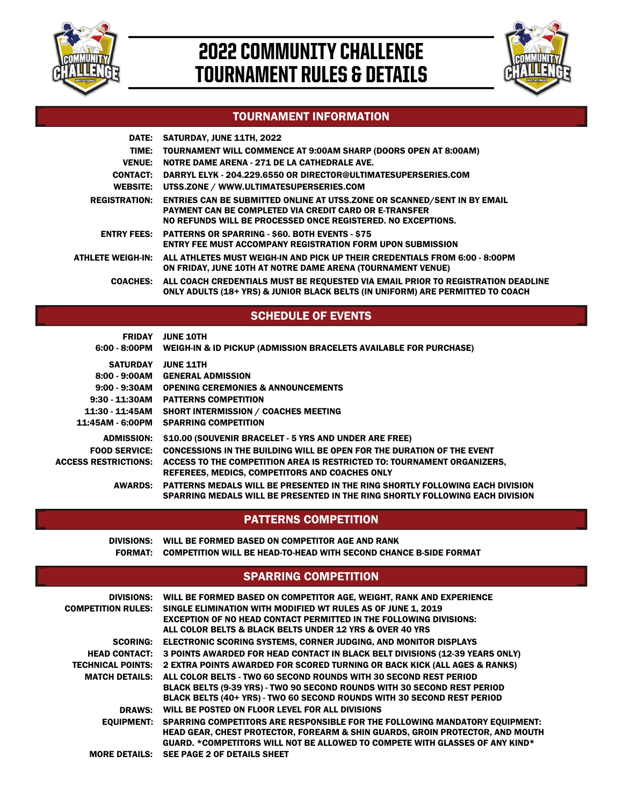

# 2022 COMMUNITY CHALLENGE TOURNAMENT RULES & DETAILS



#### TOURNAMENT INFORMATION

|                          | DATE: SATURDAY, JUNE 11TH, 2022                                                                                                                                                                                   |
|--------------------------|-------------------------------------------------------------------------------------------------------------------------------------------------------------------------------------------------------------------|
|                          | TIME: TOURNAMENT WILL COMMENCE AT 9:00AM SHARP (DOORS OPEN AT 8:00AM)                                                                                                                                             |
| <b>VENUE:</b>            | NOTRE DAME ARENA - 271 DE LA CATHEDRALE AVE.                                                                                                                                                                      |
|                          | CONTACT: DARRYL ELYK - 204.229.6550 OR DIRECTOR@ULTIMATESUPERSERIES.COM                                                                                                                                           |
| <b>WEBSITE:</b>          | UTSS.ZONE / WWW.ULTIMATESUPERSERIES.COM                                                                                                                                                                           |
| <b>REGISTRATION:</b>     | <b>ENTRIES CAN BE SUBMITTED ONLINE AT UTSS. ZONE OR SCANNED/SENT IN BY EMAIL</b><br><b>PAYMENT CAN BE COMPLETED VIA CREDIT CARD OR E-TRANSFER</b><br>NO REFUNDS WILL BE PROCESSED ONCE REGISTERED. NO EXCEPTIONS. |
|                          | <b>ENTRY FEES: PATTERNS OR SPARRING - \$60. BOTH EVENTS - \$75</b><br><b>ENTRY FEE MUST ACCOMPANY REGISTRATION FORM UPON SUBMISSION</b>                                                                           |
| <b>ATHLETE WEIGH-IN:</b> | ALL ATHLETES MUST WEIGH-IN AND PICK UP THEIR CREDENTIALS FROM 6:00 - 8:00PM<br>ON FRIDAY, JUNE 10TH AT NOTRE DAME ARENA (TOURNAMENT VENUE)                                                                        |
|                          | COACHES: ALL COACH CREDENTIALS MUST BE REQUESTED VIA EMAIL PRIOR TO REGISTRATION DEADLINE<br>ONLY ADULTS (18+ YRS) & JUNIOR BLACK BELTS (IN UNIFORM) ARE PERMITTED TO COACH                                       |

#### SCHEDULE OF EVENTS

SATURDAY JUNE 11TH 8:00 - 9:00AM GENERAL ADMISSION 9:00 - 9:30AM OPENING CEREMONIES & ANNOUNCEMENTS 9:30 - 11:30AM PATTERNS COMPETITION 6:00 - 8:00PM WEIGH-IN & ID PICKUP (ADMISSION BRACELETS AVAILABLE FOR PURCHASE) FRIDAY JUNE 10TH

11:30 - 11:45AM SHORT INTERMISSION / COACHES MEETING 11:45AM - 6:00PM SPARRING COMPETITION ADMISSION: \$10.00 (SOUVENIR BRACELET - 5 YRS AND UNDER ARE FREE) FOOD SERVICE: CONCESSIONS IN THE BUILDING WILL BE OPEN FOR THE DURATION OF THE EVENT ACCESS RESTRICTIONS: ACCESS TO THE COMPETITION AREA IS RESTRICTED TO: TOURNAMENT ORGANIZERS, REFEREES, MEDICS, COMPETITORS AND COACHES ONLY AWARDS: PATTERNS MEDALS WILL BE PRESENTED IN THE RING SHORTLY FOLLOWING EACH DIVISION SPARRING MEDALS WILL BE PRESENTED IN THE RING SHORTLY FOLLOWING EACH DIVISION

#### PATTERNS COMPETITION

DIVISIONS: WILL BE FORMED BASED ON COMPETITOR AGE AND RANK FORMAT: COMPETITION WILL BE HEAD-TO-HEAD WITH SECOND CHANCE B-SIDE FORMAT

#### SPARRING COMPETITION

|                           | DIVISIONS: WILL BE FORMED BASED ON COMPETITOR AGE, WEIGHT, RANK AND EXPERIENCE           |
|---------------------------|------------------------------------------------------------------------------------------|
| <b>COMPETITION RULES:</b> | SINGLE ELIMINATION WITH MODIFIED WT RULES AS OF JUNE 1, 2019                             |
|                           | <b>EXCEPTION OF NO HEAD CONTACT PERMITTED IN THE FOLLOWING DIVISIONS:</b>                |
|                           | ALL COLOR BELTS & BLACK BELTS UNDER 12 YRS & OVER 40 YRS                                 |
| <b>SCORING:</b>           | <b>ELECTRONIC SCORING SYSTEMS, CORNER JUDGING, AND MONITOR DISPLAYS</b>                  |
| <b>HEAD CONTACT:</b>      | 3 POINTS AWARDED FOR HEAD CONTACT IN BLACK BELT DIVISIONS (12-39 YEARS ONLY)             |
| <b>TECHNICAL POINTS:</b>  | 2 EXTRA POINTS AWARDED FOR SCORED TURNING OR BACK KICK (ALL AGES & RANKS)                |
| <b>MATCH DETAILS:</b>     | ALL COLOR BELTS - TWO 60 SECOND ROUNDS WITH 30 SECOND REST PERIOD                        |
|                           | BLACK BELTS (9-39 YRS) - TWO 90 SECOND ROUNDS WITH 30 SECOND REST PERIOD                 |
|                           | BLACK BELTS (40+ YRS) - TWO 60 SECOND ROUNDS WITH 30 SECOND REST PERIOD                  |
| <b>DRAWS:</b>             | WILL BE POSTED ON FLOOR LEVEL FOR ALL DIVISIONS                                          |
|                           | EOUIPMENT: SPARRING COMPETITORS ARE RESPONSIBLE FOR THE FOLLOWING MANDATORY EOUIPMENT:   |
|                           | <b>HEAD GEAR, CHEST PROTECTOR, FOREARM &amp; SHIN GUARDS, GROIN PROTECTOR, AND MOUTH</b> |
|                           | GUARD. *COMPETITORS WILL NOT BE ALLOWED TO COMPETE WITH GLASSES OF ANY KIND*             |
|                           | MORE DETAILS: SEE PAGE 2 OF DETAILS SHEET                                                |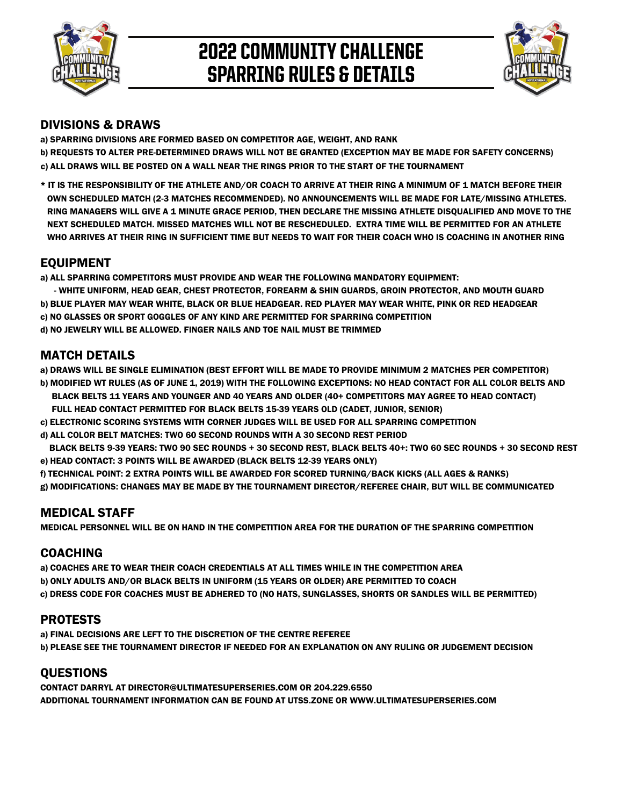

# 2022 COMMUNITY CHALLENGE SPARRING RULES & DETAILS



#### DIVISIONS & DRAWS

a) SPARRING DIVISIONS ARE FORMED BASED ON COMPETITOR AGE, WEIGHT, AND RANK

b) REQUESTS TO ALTER PRE-DETERMINED DRAWS WILL NOT BE GRANTED (EXCEPTION MAY BE MADE FOR SAFETY CONCERNS) c) ALL DRAWS WILL BE POSTED ON A WALL NEAR THE RINGS PRIOR TO THE START OF THE TOURNAMENT

\* IT IS THE RESPONSIBILITY OF THE ATHLETE AND/OR COACH TO ARRIVE AT THEIR RING A MINIMUM OF 1 MATCH BEFORE THEIR NEXT SCHEDULED MATCH. MISSED MATCHES WILL NOT BE RESCHEDULED. EXTRA TIME WILL BE PERMITTED FOR AN ATHLETE OWN SCHEDULED MATCH (2-3 MATCHES RECOMMENDED). NO ANNOUNCEMENTS WILL BE MADE FOR LATE/MISSING ATHLETES. RING MANAGERS WILL GIVE A 1 MINUTE GRACE PERIOD, THEN DECLARE THE MISSING ATHLETE DISQUALIFIED AND MOVE TO THE WHO ARRIVES AT THEIR RING IN SUFFICIENT TIME BUT NEEDS TO WAIT FOR THEIR COACH WHO IS COACHING IN ANOTHER RING

## EQUIPMENT

a) ALL SPARRING COMPETITORS MUST PROVIDE AND WEAR THE FOLLOWING MANDATORY EQUIPMENT:

b) BLUE PLAYER MAY WEAR WHITE, BLACK OR BLUE HEADGEAR. RED PLAYER MAY WEAR WHITE, PINK OR RED HEADGEAR c) NO GLASSES OR SPORT GOGGLES OF ANY KIND ARE PERMITTED FOR SPARRING COMPETITION - WHITE UNIFORM, HEAD GEAR, CHEST PROTECTOR, FOREARM & SHIN GUARDS, GROIN PROTECTOR, AND MOUTH GUARD d) NO JEWELRY WILL BE ALLOWED. FINGER NAILS AND TOE NAIL MUST BE TRIMMED

#### MATCH DETAILS

a) DRAWS WILL BE SINGLE ELIMINATION (BEST EFFORT WILL BE MADE TO PROVIDE MINIMUM 2 MATCHES PER COMPETITOR)

 BLACK BELTS 11 YEARS AND YOUNGER AND 40 YEARS AND OLDER (40+ COMPETITORS MAY AGREE TO HEAD CONTACT) b) MODIFIED WT RULES (AS OF JUNE 1, 2019) WITH THE FOLLOWING EXCEPTIONS: NO HEAD CONTACT FOR ALL COLOR BELTS AND

- FULL HEAD CONTACT PERMITTED FOR BLACK BELTS 15-39 YEARS OLD (CADET, JUNIOR, SENIOR)
- c) ELECTRONIC SCORING SYSTEMS WITH CORNER JUDGES WILL BE USED FOR ALL SPARRING COMPETITION
- d) ALL COLOR BELT MATCHES: TWO 60 SECOND ROUNDS WITH A 30 SECOND REST PERIOD

 BLACK BELTS 9-39 YEARS: TWO 90 SEC ROUNDS + 30 SECOND REST, BLACK BELTS 40+: TWO 60 SEC ROUNDS + 30 SECOND REST e) HEAD CONTACT: 3 POINTS WILL BE AWARDED (BLACK BELTS 12-39 YEARS ONLY)

f) TECHNICAL POINT: 2 EXTRA POINTS WILL BE AWARDED FOR SCORED TURNING/BACK KICKS (ALL AGES & RANKS) g) MODIFICATIONS: CHANGES MAY BE MADE BY THE TOURNAMENT DIRECTOR/REFEREE CHAIR, BUT WILL BE COMMUNICATED

## MEDICAL STAFF

MEDICAL PERSONNEL WILL BE ON HAND IN THE COMPETITION AREA FOR THE DURATION OF THE SPARRING COMPETITION

#### COACHING

a) COACHES ARE TO WEAR THEIR COACH CREDENTIALS AT ALL TIMES WHILE IN THE COMPETITION AREA b) ONLY ADULTS AND/OR BLACK BELTS IN UNIFORM (15 YEARS OR OLDER) ARE PERMITTED TO COACH c) DRESS CODE FOR COACHES MUST BE ADHERED TO (NO HATS, SUNGLASSES, SHORTS OR SANDLES WILL BE PERMITTED)

## PROTESTS

a) FINAL DECISIONS ARE LEFT TO THE DISCRETION OF THE CENTRE REFEREE b) PLEASE SEE THE TOURNAMENT DIRECTOR IF NEEDED FOR AN EXPLANATION ON ANY RULING OR JUDGEMENT DECISION

#### **OUESTIONS**

CONTACT DARRYL AT DIRECTOR@ULTIMATESUPERSERIES.COM OR 204.229.6550 ADDITIONAL TOURNAMENT INFORMATION CAN BE FOUND AT UTSS.ZONE OR WWW.ULTIMATESUPERSERIES.COM